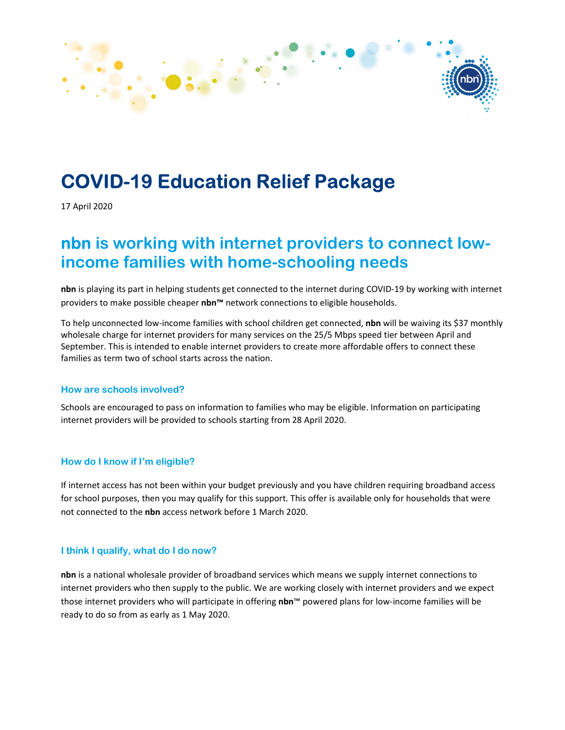

# COVID-19 Education Relief Package

17 April 2020

## nbn is working with internet providers to connect lowincome families with home-schooling needs

nbn is playing its part in helping students get connected to the internet during COVID-19 by working with internet providers to make possible cheaper nbn™ network connections to eligible households.

To help unconnected low-income families with school children get connected, nbn will be waiving its \$37 monthly wholesale charge for internet providers for many services on the 25/5 Mbps speed tier between April and September. This is intended to enable internet providers to create more affordable offers to connect these families as term two of school starts across the nation.

#### How are schools involved?

Schools are encouraged to pass on information to families who may be eligible. Information on participating internet providers will be provided to schools starting from 28 April 2020.

#### How do I know if I'm eligible?

If internet access has not been within your budget previously and you have children requiring broadband access for school purposes, then you may qualify for this support. This offer is available only for households that were not connected to the nbn access network before 1 March 2020.

#### I think I qualify, what do I do now?

nbn is a national wholesale provider of broadband services which means we supply internet connections to internet providers who then supply to the public. We are working closely with internet providers and we expect those internet providers who will participate in offering nbn™ powered plans for low-income families will be ready to do so from as early as 1 May 2020.